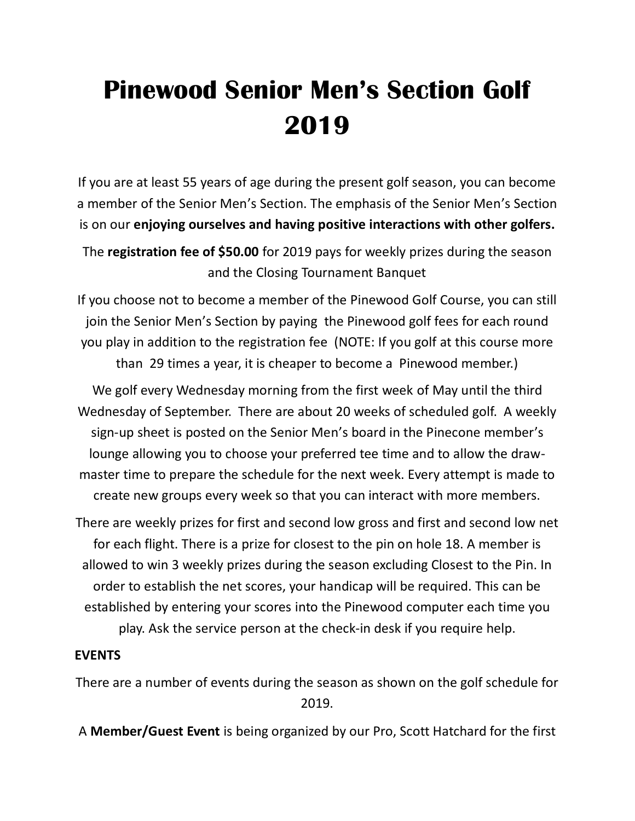# **Pinewood Senior Men's Section Golf 2019**

If you are at least 55 years of age during the present golf season, you can become a member of the Senior Men's Section. The emphasis of the Senior Men's Section is on our **enjoying ourselves and having positive interactions with other golfers.**

The **registration fee of \$50.00** for 2019 pays for weekly prizes during the season and the Closing Tournament Banquet

If you choose not to become a member of the Pinewood Golf Course, you can still join the Senior Men's Section by paying the Pinewood golf fees for each round you play in addition to the registration fee (NOTE: If you golf at this course more than 29 times a year, it is cheaper to become a Pinewood member.)

We golf every Wednesday morning from the first week of May until the third Wednesday of September. There are about 20 weeks of scheduled golf. A weekly sign-up sheet is posted on the Senior Men's board in the Pinecone member's lounge allowing you to choose your preferred tee time and to allow the drawmaster time to prepare the schedule for the next week. Every attempt is made to create new groups every week so that you can interact with more members.

There are weekly prizes for first and second low gross and first and second low net for each flight. There is a prize for closest to the pin on hole 18. A member is allowed to win 3 weekly prizes during the season excluding Closest to the Pin. In order to establish the net scores, your handicap will be required. This can be established by entering your scores into the Pinewood computer each time you play. Ask the service person at the check-in desk if you require help.

#### **EVENTS**

There are a number of events during the season as shown on the golf schedule for 2019.

A **Member/Guest Event** is being organized by our Pro, Scott Hatchard for the first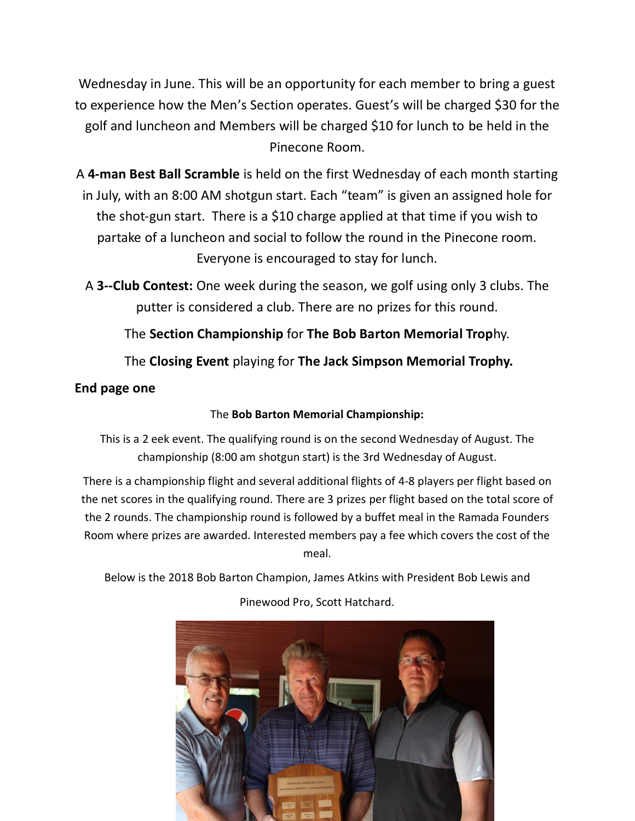Wednesday in June. This will be an opportunity for each member to bring a guest to experience how the Men's Section operates. Guest's will be charged \$30 for the golf and luncheon and Members will be charged \$10 for lunch to be held in the Pinecone Room.

A **4-man Best Ball Scramble** is held on the first Wednesday of each month starting in July, with an 8:00 AM shotgun start. Each "team" is given an assigned hole for the shot-gun start. There is a \$10 charge applied at that time if you wish to partake of a luncheon and social to follow the round in the Pinecone room. Everyone is encouraged to stay for lunch.

A **3--Club Contest:** One week during the season, we golf using only 3 clubs. The putter is considered a club. There are no prizes for this round.

The **Section Championship** for **The Bob Barton Memorial Trop**hy.

The **Closing Event** playing for **The Jack Simpson Memorial Trophy.**

### **End page one**

#### The **Bob Barton Memorial Championship:**

This is a 2 eek event. The qualifying round is on the second Wednesday of August. The championship (8:00 am shotgun start) is the 3rd Wednesday of August.

There is a championship flight and several additional flights of 4-8 players per flight based on the net scores in the qualifying round. There are 3 prizes per flight based on the total score of the 2 rounds. The championship round is followed by a buffet meal in the Ramada Founders Room where prizes are awarded. Interested members pay a fee which covers the cost of the meal.

Below is the 2018 Bob Barton Champion, James Atkins with President Bob Lewis and Pinewood Pro, Scott Hatchard.

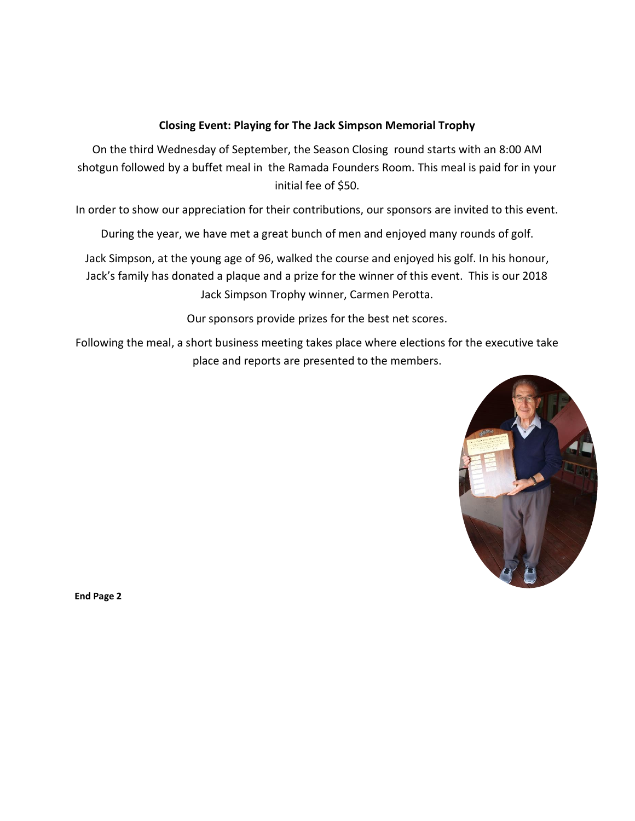#### **Closing Event: Playing for The Jack Simpson Memorial Trophy**

On the third Wednesday of September, the Season Closing round starts with an 8:00 AM shotgun followed by a buffet meal in the Ramada Founders Room. This meal is paid for in your initial fee of \$50.

In order to show our appreciation for their contributions, our sponsors are invited to this event.

During the year, we have met a great bunch of men and enjoyed many rounds of golf.

Jack Simpson, at the young age of 96, walked the course and enjoyed his golf. In his honour, Jack's family has donated a plaque and a prize for the winner of this event. This is our 2018 Jack Simpson Trophy winner, Carmen Perotta.

Our sponsors provide prizes for the best net scores.

Following the meal, a short business meeting takes place where elections for the executive take place and reports are presented to the members.



**End Page 2**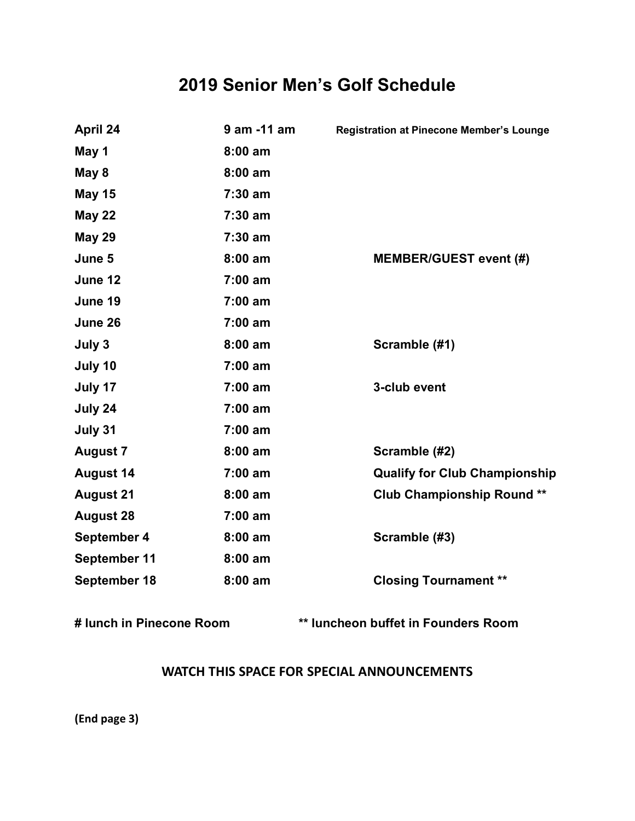## **2019 Senior Men's Golf Schedule**

| April 24         | 9 am -11 am | <b>Registration at Pinecone Member's Lounge</b> |
|------------------|-------------|-------------------------------------------------|
| May 1            | $8:00$ am   |                                                 |
| May 8            | $8:00$ am   |                                                 |
| <b>May 15</b>    | $7:30$ am   |                                                 |
| <b>May 22</b>    | $7:30$ am   |                                                 |
| <b>May 29</b>    | $7:30$ am   |                                                 |
| June 5           | $8:00$ am   | <b>MEMBER/GUEST event (#)</b>                   |
| June 12          | $7:00$ am   |                                                 |
| June 19          | $7:00$ am   |                                                 |
| June 26          | $7:00$ am   |                                                 |
| July 3           | $8:00$ am   | Scramble (#1)                                   |
| July 10          | $7:00$ am   |                                                 |
| July 17          | $7:00$ am   | 3-club event                                    |
| July 24          | $7:00$ am   |                                                 |
| July 31          | 7:00 am     |                                                 |
| <b>August 7</b>  | $8:00$ am   | Scramble (#2)                                   |
| <b>August 14</b> | $7:00$ am   | <b>Qualify for Club Championship</b>            |
| <b>August 21</b> | $8:00$ am   | <b>Club Championship Round **</b>               |
| <b>August 28</b> | $7:00$ am   |                                                 |
| September 4      | $8:00$ am   | Scramble (#3)                                   |
| September 11     | $8:00$ am   |                                                 |
| September 18     | $8:00$ am   | <b>Closing Tournament **</b>                    |
|                  |             |                                                 |

**# lunch in Pinecone Room \*\* luncheon buffet in Founders Room**

#### **WATCH THIS SPACE FOR SPECIAL ANNOUNCEMENTS**

**(End page 3)**